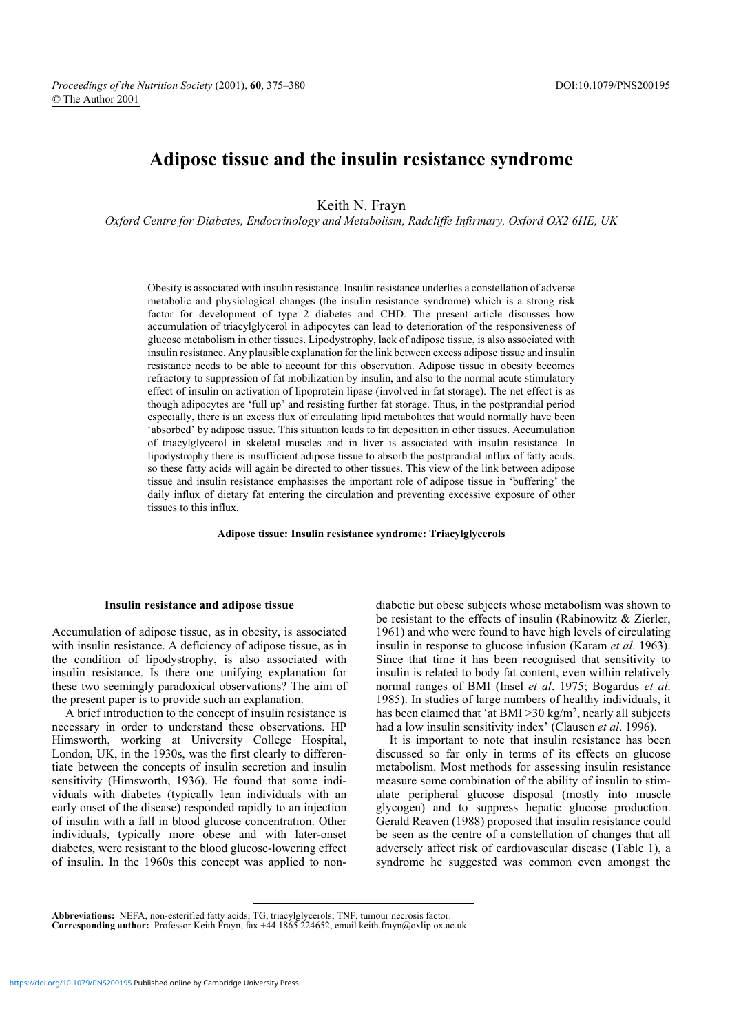# **Adipose tissue and the insulin resistance syndrome**

Keith N. Frayn

*Oxford Centre for Diabetes, Endocrinology and Metabolism, Radcliffe Infirmary, Oxford OX2 6HE, UK*

Obesity is associated with insulin resistance. Insulin resistance underlies a constellation of adverse metabolic and physiological changes (the insulin resistance syndrome) which is a strong risk factor for development of type 2 diabetes and CHD. The present article discusses how accumulation of triacylglycerol in adipocytes can lead to deterioration of the responsiveness of glucose metabolism in other tissues. Lipodystrophy, lack of adipose tissue, is also associated with insulin resistance. Any plausible explanation for the link between excess adipose tissue and insulin resistance needs to be able to account for this observation. Adipose tissue in obesity becomes refractory to suppression of fat mobilization by insulin, and also to the normal acute stimulatory effect of insulin on activation of lipoprotein lipase (involved in fat storage). The net effect is as though adipocytes are 'full up' and resisting further fat storage. Thus, in the postprandial period especially, there is an excess flux of circulating lipid metabolites that would normally have been 'absorbed' by adipose tissue. This situation leads to fat deposition in other tissues. Accumulation of triacylglycerol in skeletal muscles and in liver is associated with insulin resistance. In lipodystrophy there is insufficient adipose tissue to absorb the postprandial influx of fatty acids, so these fatty acids will again be directed to other tissues. This view of the link between adipose tissue and insulin resistance emphasises the important role of adipose tissue in 'buffering' the daily influx of dietary fat entering the circulation and preventing excessive exposure of other tissues to this influx.

**Adipose tissue: Insulin resistance syndrome: Triacylglycerols**

#### Insulin resistance and adipose tissue

Accumulation of adipose tissue, as in obesity, is associated with insulin resistance. A deficiency of adipose tissue, as in the condition of lipodystrophy, is also associated with insulin resistance. Is there one unifying explanation for these two seemingly paradoxical observations? The aim of the present paper is to provide such an explanation.

A brief introduction to the concept of insulin resistance is necessary in order to understand these observations. HP Himsworth, working at University College Hospital, London, UK, in the 1930s, was the first clearly to differentiate between the concepts of insulin secretion and insulin sensitivity (Himsworth, 1936). He found that some individuals with diabetes (typically lean individuals with an early onset of the disease) responded rapidly to an injection of insulin with a fall in blood glucose concentration. Other individuals, typically more obese and with later-onset diabetes, were resistant to the blood glucose-lowering effect of insulin. In the 1960s this concept was applied to nondiabetic but obese subjects whose metabolism was shown to be resistant to the effects of insulin (Rabinowitz & Zierler, 1961) and who were found to have high levels of circulating insulin in response to glucose infusion (Karam *et al*. 1963). Since that time it has been recognised that sensitivity to insulin is related to body fat content, even within relatively normal ranges of BMI (Insel *et al*. 1975; Bogardus *et al*. 1985). In studies of large numbers of healthy individuals, it has been claimed that 'at BMI  $>$ 30 kg/m<sup>2</sup>, nearly all subjects had a low insulin sensitivity index<sup>'</sup> (Clausen *et al.* 1996).

It is important to note that insulin resistance has been discussed so far only in terms of its effects on glucose metabolism. Most methods for assessing insulin resistance measure some combination of the ability of insulin to stimulate peripheral glucose disposal (mostly into muscle glycogen) and to suppress hepatic glucose production. Gerald Reaven (1988) proposed that insulin resistance could be seen as the centre of a constellation of changes that all adversely affect risk of cardiovascular disease (Table 1), a syndrome he suggested was common even amongst the

**Abbreviations:** NEFA, non-esterified fatty acids; TG, triacylglycerols; TNF, tumour necrosis factor. **Corresponding author:** Professor Keith Frayn, fax +44 1865 224652, email keith.frayn@oxlip.ox.ac.uk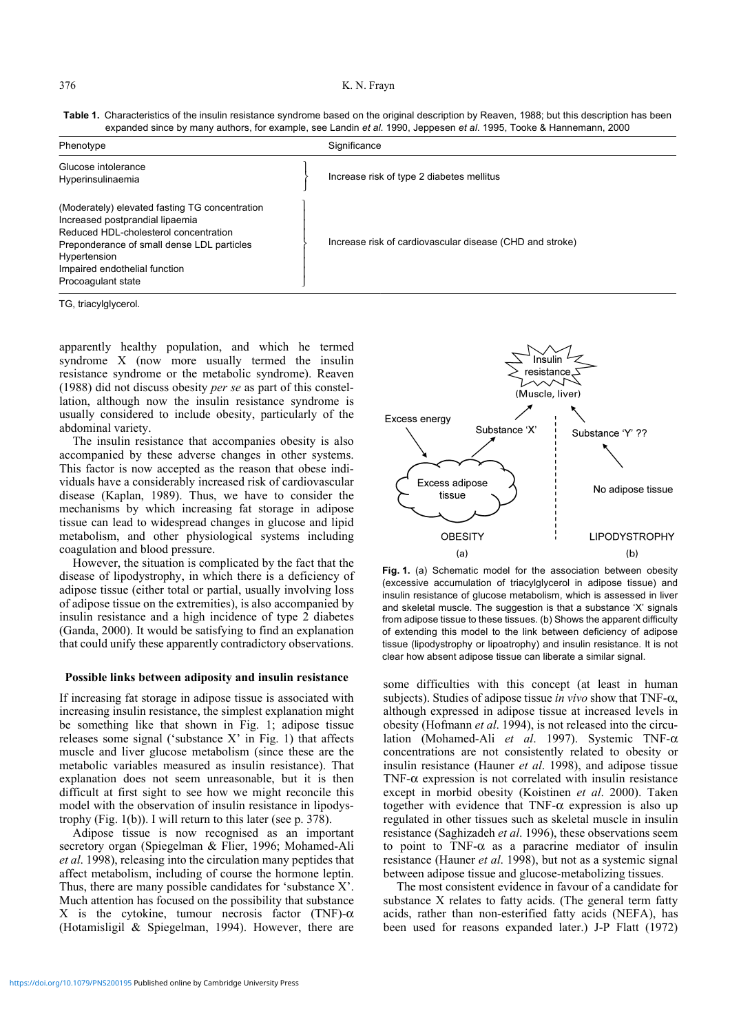## 376 K. N. Frayn

| Table 1. Characteristics of the insulin resistance syndrome based on the original description by Reaven, 1988; but this description has been |
|----------------------------------------------------------------------------------------------------------------------------------------------|
| expanded since by many authors, for example, see Landin et al. 1990, Jeppesen et al. 1995, Tooke & Hannemann, 2000                           |

| Phenotype                                                                                                                                                                                                                                       | Significance                                             |
|-------------------------------------------------------------------------------------------------------------------------------------------------------------------------------------------------------------------------------------------------|----------------------------------------------------------|
| Glucose intolerance<br>Hyperinsulinaemia                                                                                                                                                                                                        | Increase risk of type 2 diabetes mellitus                |
| (Moderately) elevated fasting TG concentration<br>Increased postprandial lipaemia<br>Reduced HDL-cholesterol concentration<br>Preponderance of small dense LDL particles<br>Hypertension<br>Impaired endothelial function<br>Procoagulant state | Increase risk of cardiovascular disease (CHD and stroke) |

TG, triacylglycerol.

apparently healthy population, and which he termed syndrome X (now more usually termed the insulin resistance syndrome or the metabolic syndrome). Reaven (1988) did not discuss obesity *per se* as part of this constellation, although now the insulin resistance syndrome is usually considered to include obesity, particularly of the abdominal variety.

The insulin resistance that accompanies obesity is also accompanied by these adverse changes in other systems. This factor is now accepted as the reason that obese individuals have a considerably increased risk of cardiovascular disease (Kaplan, 1989). Thus, we have to consider the mechanisms by which increasing fat storage in adipose tissue can lead to widespread changes in glucose and lipid metabolism, and other physiological systems including coagulation and blood pressure.

However, the situation is complicated by the fact that the disease of lipodystrophy, in which there is a deficiency of adipose tissue (either total or partial, usually involving loss of adipose tissue on the extremities), is also accompanied by insulin resistance and a high incidence of type 2 diabetes (Ganda, 2000). It would be satisfying to find an explanation that could unify these apparently contradictory observations.

## **Possible links between adiposity and insulin resistance**

If increasing fat storage in adipose tissue is associated with increasing insulin resistance, the simplest explanation might be something like that shown in Fig. 1; adipose tissue releases some signal ('substance  $X'$  in Fig. 1) that affects muscle and liver glucose metabolism (since these are the metabolic variables measured as insulin resistance). That explanation does not seem unreasonable, but it is then difficult at first sight to see how we might reconcile this model with the observation of insulin resistance in lipodystrophy (Fig. 1(b)). I will return to this later (see p. 378).

Adipose tissue is now recognised as an important secretory organ (Spiegelman & Flier, 1996; Mohamed-Ali *et al*. 1998), releasing into the circulation many peptides that affect metabolism, including of course the hormone leptin. Thus, there are many possible candidates for 'substance  $X'$ . Much attention has focused on the possibility that substance X is the cytokine, tumour necrosis factor (TNF)- $\alpha$ (Hotamisligil & Spiegelman, 1994). However, there are



**Fig. 1.** (a) Schematic model for the association between obesity (excessive accumulation of triacylglycerol in adipose tissue) and insulin resistance of glucose metabolism, which is assessed in liver and skeletal muscle. The suggestion is that a substance 'X' signals from adipose tissue to these tissues. (b) Shows the apparent difficulty of extending this model to the link between deficiency of adipose tissue (lipodystrophy or lipoatrophy) and insulin resistance. It is not clear how absent adipose tissue can liberate a similar signal.

some difficulties with this concept (at least in human subjects). Studies of adipose tissue *in vivo* show that TNF-α, although expressed in adipose tissue at increased levels in obesity (Hofmann *et al*. 1994), is not released into the circulation (Mohamed-Ali *et al*. 1997). Systemic TNF-α concentrations are not consistently related to obesity or insulin resistance (Hauner *et al*. 1998), and adipose tissue TNF- $\alpha$  expression is not correlated with insulin resistance except in morbid obesity (Koistinen *et al*. 2000). Taken together with evidence that TNF- $\alpha$  expression is also up regulated in other tissues such as skeletal muscle in insulin resistance (Saghizadeh *et al*. 1996), these observations seem to point to TNF- $\alpha$  as a paracrine mediator of insulin resistance (Hauner *et al*. 1998), but not as a systemic signal between adipose tissue and glucose-metabolizing tissues.

The most consistent evidence in favour of a candidate for substance X relates to fatty acids. (The general term fatty acids, rather than non-esterified fatty acids (NEFA), has been used for reasons expanded later.) J-P Flatt (1972)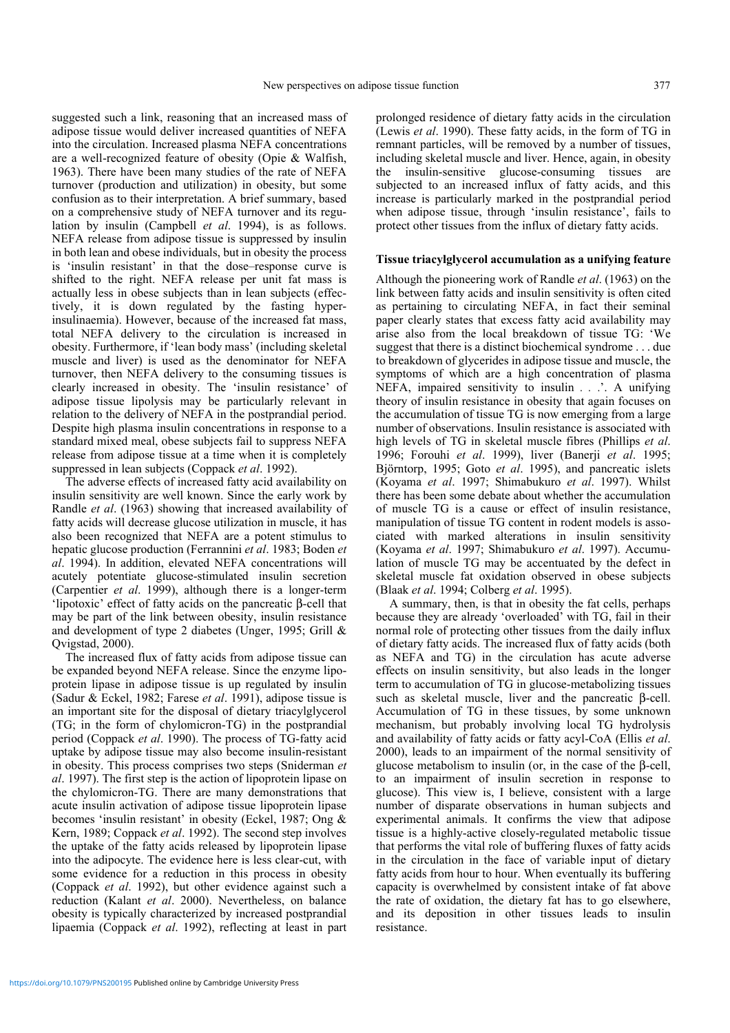suggested such a link, reasoning that an increased mass of adipose tissue would deliver increased quantities of NEFA into the circulation. Increased plasma NEFA concentrations are a well-recognized feature of obesity (Opie & Walfish, 1963). There have been many studies of the rate of NEFA turnover (production and utilization) in obesity, but some confusion as to their interpretation. A brief summary, based on a comprehensive study of NEFA turnover and its regulation by insulin (Campbell *et al*. 1994), is as follows. NEFA release from adipose tissue is suppressed by insulin in both lean and obese individuals, but in obesity the process is 'insulin resistant' in that the dose-response curve is shifted to the right. NEFA release per unit fat mass is actually less in obese subjects than in lean subjects (effectively, it is down regulated by the fasting hyperinsulinaemia). However, because of the increased fat mass, total NEFA delivery to the circulation is increased in obesity. Furthermore, if 'lean body mass' (including skeletal muscle and liver) is used as the denominator for NEFA turnover, then NEFA delivery to the consuming tissues is clearly increased in obesity. The 'insulin resistance' of adipose tissue lipolysis may be particularly relevant in relation to the delivery of NEFA in the postprandial period. Despite high plasma insulin concentrations in response to a standard mixed meal, obese subjects fail to suppress NEFA release from adipose tissue at a time when it is completely suppressed in lean subjects (Coppack *et al*. 1992).

The adverse effects of increased fatty acid availability on insulin sensitivity are well known. Since the early work by Randle *et al*. (1963) showing that increased availability of fatty acids will decrease glucose utilization in muscle, it has also been recognized that NEFA are a potent stimulus to hepatic glucose production (Ferrannini *et al*. 1983; Boden *et al*. 1994). In addition, elevated NEFA concentrations will acutely potentiate glucose-stimulated insulin secretion (Carpentier *et al*. 1999), although there is a longer-term 'lipotoxic' effect of fatty acids on the pancreatic β-cell that may be part of the link between obesity, insulin resistance and development of type 2 diabetes (Unger, 1995; Grill & Qvigstad, 2000).

The increased flux of fatty acids from adipose tissue can be expanded beyond NEFA release. Since the enzyme lipoprotein lipase in adipose tissue is up regulated by insulin (Sadur & Eckel, 1982; Farese *et al*. 1991), adipose tissue is an important site for the disposal of dietary triacylglycerol (TG; in the form of chylomicron-TG) in the postprandial period (Coppack *et al*. 1990). The process of TG-fatty acid uptake by adipose tissue may also become insulin-resistant in obesity. This process comprises two steps (Sniderman *et al*. 1997). The first step is the action of lipoprotein lipase on the chylomicron-TG. There are many demonstrations that acute insulin activation of adipose tissue lipoprotein lipase becomes 'insulin resistant' in obesity (Eckel, 1987; Ong  $\&$ Kern, 1989; Coppack *et al*. 1992). The second step involves the uptake of the fatty acids released by lipoprotein lipase into the adipocyte. The evidence here is less clear-cut, with some evidence for a reduction in this process in obesity (Coppack *et al*. 1992), but other evidence against such a reduction (Kalant *et al*. 2000). Nevertheless, on balance obesity is typically characterized by increased postprandial lipaemia (Coppack *et al*. 1992), reflecting at least in part prolonged residence of dietary fatty acids in the circulation (Lewis *et al*. 1990). These fatty acids, in the form of TG in remnant particles, will be removed by a number of tissues, including skeletal muscle and liver. Hence, again, in obesity the insulin-sensitive glucose-consuming tissues are subjected to an increased influx of fatty acids, and this increase is particularly marked in the postprandial period when adipose tissue, through 'insulin resistance', fails to protect other tissues from the influx of dietary fatty acids.

## **Tissue triacylglycerol accumulation as a unifying feature**

Although the pioneering work of Randle *et al*. (1963) on the link between fatty acids and insulin sensitivity is often cited as pertaining to circulating NEFA, in fact their seminal paper clearly states that excess fatty acid availability may arise also from the local breakdown of tissue TG: ëWe suggest that there is a distinct biochemical syndrome . . . due to breakdown of glycerides in adipose tissue and muscle, the symptoms of which are a high concentration of plasma NEFA, impaired sensitivity to insulin . . . A unifying theory of insulin resistance in obesity that again focuses on the accumulation of tissue TG is now emerging from a large number of observations. Insulin resistance is associated with high levels of TG in skeletal muscle fibres (Phillips *et al*. 1996; Forouhi *et al*. 1999), liver (Banerji *et al*. 1995; Björntorp, 1995; Goto *et al.* 1995), and pancreatic islets (Koyama *et al*. 1997; Shimabukuro *et al*. 1997). Whilst there has been some debate about whether the accumulation of muscle TG is a cause or effect of insulin resistance, manipulation of tissue TG content in rodent models is associated with marked alterations in insulin sensitivity (Koyama *et al*. 1997; Shimabukuro *et al*. 1997). Accumulation of muscle TG may be accentuated by the defect in skeletal muscle fat oxidation observed in obese subjects (Blaak *et al*. 1994; Colberg *et al*. 1995).

A summary, then, is that in obesity the fat cells, perhaps because they are already 'overloaded' with TG, fail in their normal role of protecting other tissues from the daily influx of dietary fatty acids. The increased flux of fatty acids (both as NEFA and TG) in the circulation has acute adverse effects on insulin sensitivity, but also leads in the longer term to accumulation of TG in glucose-metabolizing tissues such as skeletal muscle, liver and the pancreatic β-cell. Accumulation of TG in these tissues, by some unknown mechanism, but probably involving local TG hydrolysis and availability of fatty acids or fatty acyl-CoA (Ellis *et al*. 2000), leads to an impairment of the normal sensitivity of glucose metabolism to insulin (or, in the case of the  $\beta$ -cell, to an impairment of insulin secretion in response to glucose). This view is, I believe, consistent with a large number of disparate observations in human subjects and experimental animals. It confirms the view that adipose tissue is a highly-active closely-regulated metabolic tissue that performs the vital role of buffering fluxes of fatty acids in the circulation in the face of variable input of dietary fatty acids from hour to hour. When eventually its buffering capacity is overwhelmed by consistent intake of fat above the rate of oxidation, the dietary fat has to go elsewhere, and its deposition in other tissues leads to insulin resistance.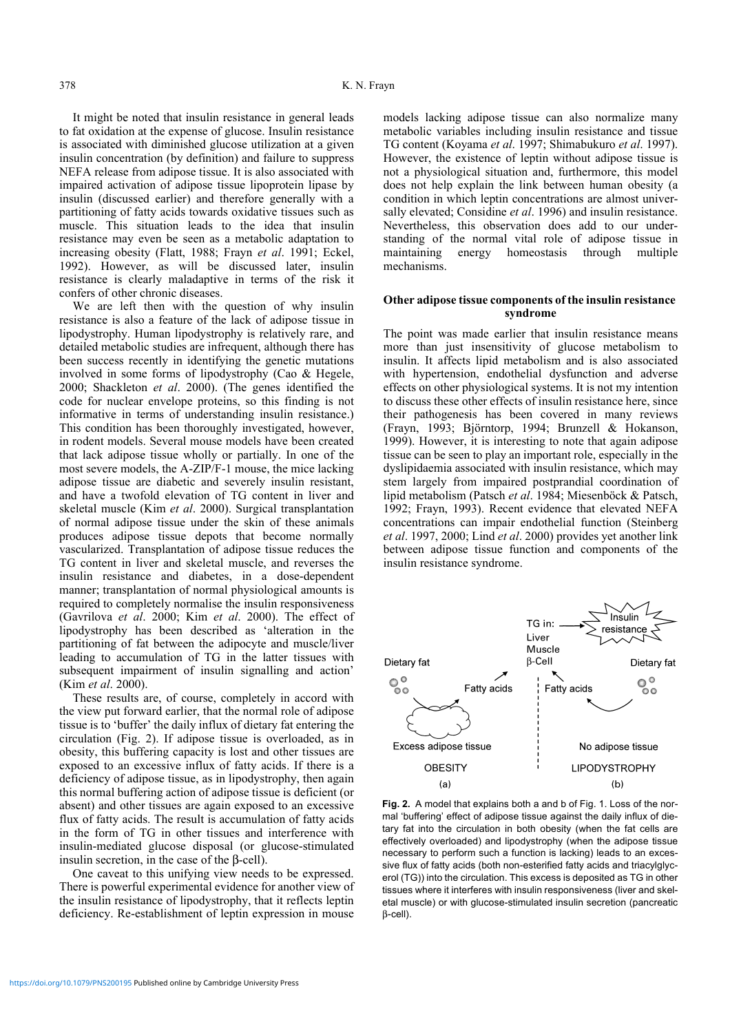It might be noted that insulin resistance in general leads to fat oxidation at the expense of glucose. Insulin resistance is associated with diminished glucose utilization at a given insulin concentration (by definition) and failure to suppress NEFA release from adipose tissue. It is also associated with impaired activation of adipose tissue lipoprotein lipase by insulin (discussed earlier) and therefore generally with a partitioning of fatty acids towards oxidative tissues such as muscle. This situation leads to the idea that insulin resistance may even be seen as a metabolic adaptation to increasing obesity (Flatt, 1988; Frayn *et al*. 1991; Eckel, 1992). However, as will be discussed later, insulin resistance is clearly maladaptive in terms of the risk it confers of other chronic diseases.

We are left then with the question of why insulin resistance is also a feature of the lack of adipose tissue in lipodystrophy. Human lipodystrophy is relatively rare, and detailed metabolic studies are infrequent, although there has been success recently in identifying the genetic mutations involved in some forms of lipodystrophy (Cao & Hegele, 2000; Shackleton *et al*. 2000). (The genes identified the code for nuclear envelope proteins, so this finding is not informative in terms of understanding insulin resistance.) This condition has been thoroughly investigated, however, in rodent models. Several mouse models have been created that lack adipose tissue wholly or partially. In one of the most severe models, the A-ZIP/F-1 mouse, the mice lacking adipose tissue are diabetic and severely insulin resistant, and have a twofold elevation of TG content in liver and skeletal muscle (Kim *et al*. 2000). Surgical transplantation of normal adipose tissue under the skin of these animals produces adipose tissue depots that become normally vascularized. Transplantation of adipose tissue reduces the TG content in liver and skeletal muscle, and reverses the insulin resistance and diabetes, in a dose-dependent manner; transplantation of normal physiological amounts is required to completely normalise the insulin responsiveness (Gavrilova *et al*. 2000; Kim *et al*. 2000). The effect of lipodystrophy has been described as ëalteration in the partitioning of fat between the adipocyte and muscle/liver leading to accumulation of TG in the latter tissues with subsequent impairment of insulin signalling and action' (Kim *et al*. 2000).

These results are, of course, completely in accord with the view put forward earlier, that the normal role of adipose tissue is to 'buffer' the daily influx of dietary fat entering the circulation (Fig. 2). If adipose tissue is overloaded, as in obesity, this buffering capacity is lost and other tissues are exposed to an excessive influx of fatty acids. If there is a deficiency of adipose tissue, as in lipodystrophy, then again this normal buffering action of adipose tissue is deficient (or absent) and other tissues are again exposed to an excessive flux of fatty acids. The result is accumulation of fatty acids in the form of TG in other tissues and interference with insulin-mediated glucose disposal (or glucose-stimulated insulin secretion, in the case of the β-cell).

One caveat to this unifying view needs to be expressed. There is powerful experimental evidence for another view of the insulin resistance of lipodystrophy, that it reflects leptin deficiency. Re-establishment of leptin expression in mouse models lacking adipose tissue can also normalize many metabolic variables including insulin resistance and tissue TG content (Koyama *et al*. 1997; Shimabukuro *et al*. 1997). However, the existence of leptin without adipose tissue is not a physiological situation and, furthermore, this model does not help explain the link between human obesity (a condition in which leptin concentrations are almost universally elevated; Considine *et al*. 1996) and insulin resistance. Nevertheless, this observation does add to our understanding of the normal vital role of adipose tissue in maintaining energy homeostasis through multiple mechanisms.

## **Other adipose tissue components of the insulin resistance syndrome**

The point was made earlier that insulin resistance means more than just insensitivity of glucose metabolism to insulin. It affects lipid metabolism and is also associated with hypertension, endothelial dysfunction and adverse effects on other physiological systems. It is not my intention to discuss these other effects of insulin resistance here, since their pathogenesis has been covered in many reviews (Frayn, 1993; Björntorp, 1994; Brunzell  $& Hokanson,$ 1999). However, it is interesting to note that again adipose tissue can be seen to play an important role, especially in the dyslipidaemia associated with insulin resistance, which may stem largely from impaired postprandial coordination of lipid metabolism (Patsch *et al.* 1984; Miesenböck & Patsch, 1992; Frayn, 1993). Recent evidence that elevated NEFA concentrations can impair endothelial function (Steinberg *et al*. 1997, 2000; Lind *et al*. 2000) provides yet another link between adipose tissue function and components of the insulin resistance syndrome.



**Fig. 2.** A model that explains both a and b of Fig. 1. Loss of the normal 'buffering' effect of adipose tissue against the daily influx of dietary fat into the circulation in both obesity (when the fat cells are effectively overloaded) and lipodystrophy (when the adipose tissue necessary to perform such a function is lacking) leads to an excessive flux of fatty acids (both non-esterified fatty acids and triacylglycerol (TG)) into the circulation. This excess is deposited as TG in other tissues where it interferes with insulin responsiveness (liver and skeletal muscle) or with glucose-stimulated insulin secretion (pancreatic β-cell).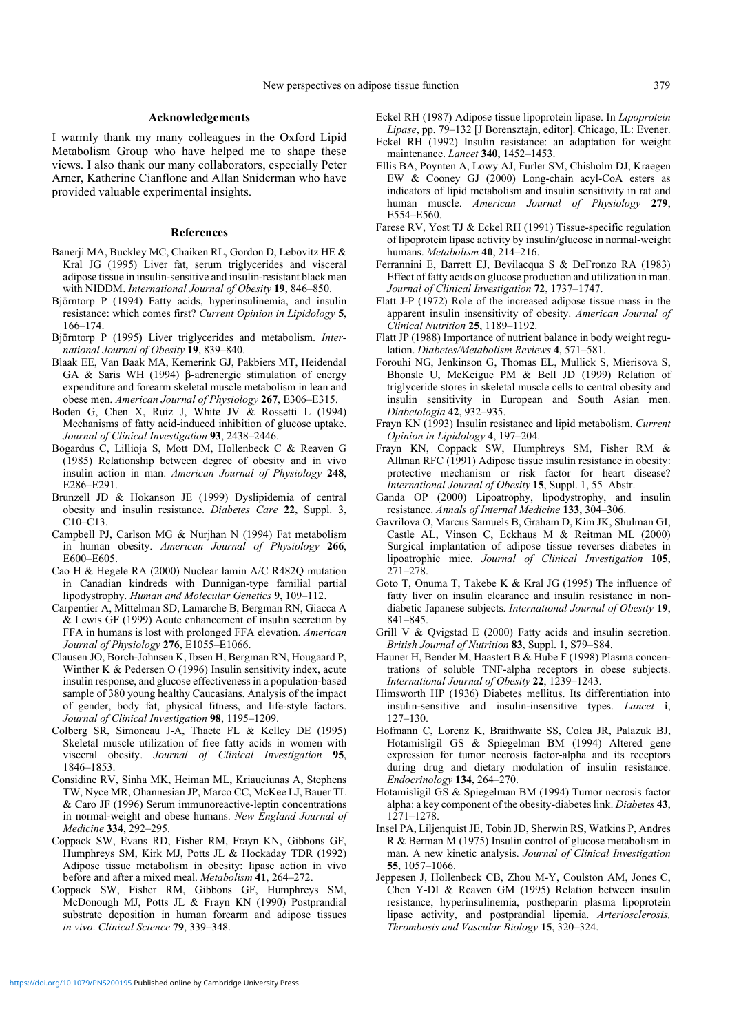## **Acknowledgements**

I warmly thank my many colleagues in the Oxford Lipid Metabolism Group who have helped me to shape these views. I also thank our many collaborators, especially Peter Arner, Katherine Cianflone and Allan Sniderman who have provided valuable experimental insights.

#### **References**

- Banerji MA, Buckley MC, Chaiken RL, Gordon D, Lebovitz HE & Kral JG (1995) Liver fat, serum triglycerides and visceral adipose tissue in insulin-sensitive and insulin-resistant black men with NIDDM. *International Journal of Obesity* 19, 846-850.
- Björntorp P (1994) Fatty acids, hyperinsulinemia, and insulin resistance: which comes first? *Current Opinion in Lipidology* **5**, 166–174
- Björntorp P (1995) Liver triglycerides and metabolism. *International Journal of Obesity* 19, 839-840.
- Blaak EE, Van Baak MA, Kemerink GJ, Pakbiers MT, Heidendal GA & Saris WH (1994) β-adrenergic stimulation of energy expenditure and forearm skeletal muscle metabolism in lean and obese men. *American Journal of Physiology* 267, E306–E315.
- Boden G, Chen X, Ruiz J, White JV & Rossetti L (1994) Mechanisms of fatty acid-induced inhibition of glucose uptake. *Journal of Clinical Investigation* 93, 2438-2446.
- Bogardus C, Lillioja S, Mott DM, Hollenbeck C & Reaven G (1985) Relationship between degree of obesity and in vivo insulin action in man. *American Journal of Physiology* **248**, E286-E291.
- Brunzell JD & Hokanson JE (1999) Dyslipidemia of central obesity and insulin resistance. *Diabetes Care* **22**, Suppl. 3, C10<sup>-</sup>C13.
- Campbell PJ, Carlson MG & Nurjhan N (1994) Fat metabolism in human obesity. *American Journal of Physiology* **266**, E600-E605.
- Cao H & Hegele RA (2000) Nuclear lamin A/C R482Q mutation in Canadian kindreds with Dunnigan-type familial partial lipodystrophy. *Human and Molecular Genetics* 9, 109-112.
- Carpentier A, Mittelman SD, Lamarche B, Bergman RN, Giacca A & Lewis GF (1999) Acute enhancement of insulin secretion by FFA in humans is lost with prolonged FFA elevation. *American Journal of Physiology* 276, E1055-E1066.
- Clausen JO, Borch-Johnsen K, Ibsen H, Bergman RN, Hougaard P, Winther K & Pedersen O (1996) Insulin sensitivity index, acute insulin response, and glucose effectiveness in a population-based sample of 380 young healthy Caucasians. Analysis of the impact of gender, body fat, physical fitness, and life-style factors. **Journal of Clinical Investigation 98**, 1195-1209.
- Colberg SR, Simoneau J-A, Thaete FL & Kelley DE (1995) Skeletal muscle utilization of free fatty acids in women with visceral obesity. *Journal of Clinical Investigation* **95**, 1846–1853.
- Considine RV, Sinha MK, Heiman ML, Kriauciunas A, Stephens TW, Nyce MR, Ohannesian JP, Marco CC, McKee LJ, Bauer TL & Caro JF (1996) Serum immunoreactive-leptin concentrations in normal-weight and obese humans. *New England Journal of Medicine* 334, 292-295.
- Coppack SW, Evans RD, Fisher RM, Frayn KN, Gibbons GF, Humphreys SM, Kirk MJ, Potts JL & Hockaday TDR (1992) Adipose tissue metabolism in obesity: lipase action in vivo before and after a mixed meal. *Metabolism* 41, 264-272.
- Coppack SW, Fisher RM, Gibbons GF, Humphreys SM, McDonough MJ, Potts JL & Frayn KN (1990) Postprandial substrate deposition in human forearm and adipose tissues *in vivo. Clinical Science* **79**, 339-348.
- Eckel RH (1987) Adipose tissue lipoprotein lipase. In *Lipoprotein Lipase*, pp. 79–132 [J Borensztajn, editor]. Chicago, IL: Evener.
- Eckel RH (1992) Insulin resistance: an adaptation for weight maintenance. *Lancet* 340, 1452-1453.
- Ellis BA, Poynten A, Lowy AJ, Furler SM, Chisholm DJ, Kraegen EW & Cooney GJ (2000) Long-chain acyl-CoA esters as indicators of lipid metabolism and insulin sensitivity in rat and human muscle. *American Journal of Physiology* **279**, E554-E560.
- Farese RV, Yost TJ & Eckel RH (1991) Tissue-specific regulation of lipoprotein lipase activity by insulin/glucose in normal-weight humans. *Metabolism* **40**, 214-216.
- Ferrannini E, Barrett EJ, Bevilacqua S & DeFronzo RA (1983) Effect of fatty acids on glucose production and utilization in man. *Journal of Clinical Investigation* **72**, 1737–1747.
- Flatt J-P (1972) Role of the increased adipose tissue mass in the apparent insulin insensitivity of obesity. *American Journal of Clinical Nutrition* 25, 1189-1192.
- Flatt JP (1988) Importance of nutrient balance in body weight regulation. *Diabetes/Metabolism Reviews* 4, 571-581.
- Forouhi NG, Jenkinson G, Thomas EL, Mullick S, Mierisova S, Bhonsle U, McKeigue PM & Bell JD (1999) Relation of triglyceride stores in skeletal muscle cells to central obesity and insulin sensitivity in European and South Asian men. *Diabetologia* 42, 932-935.
- Frayn KN (1993) Insulin resistance and lipid metabolism. *Current Opinion in Lipidology* 4, 197-204.
- Frayn KN, Coppack SW, Humphreys SM, Fisher RM & Allman RFC (1991) Adipose tissue insulin resistance in obesity: protective mechanism or risk factor for heart disease? *International Journal of Obesity* **15**, Suppl. 1, 55 Abstr.
- Ganda OP (2000) Lipoatrophy, lipodystrophy, and insulin resistance. *Annals of Internal Medicine* **133**, 304–306.
- Gavrilova O, Marcus Samuels B, Graham D, Kim JK, Shulman GI, Castle AL, Vinson C, Eckhaus M & Reitman ML (2000) Surgical implantation of adipose tissue reverses diabetes in lipoatrophic mice. *Journal of Clinical Investigation* **105**,  $271 - 278$ .
- Goto T, Onuma T, Takebe K & Kral JG (1995) The influence of fatty liver on insulin clearance and insulin resistance in nondiabetic Japanese subjects. *International Journal of Obesity* **19**, 841-845.
- Grill V & Qvigstad E (2000) Fatty acids and insulin secretion. *British Journal of Nutrition* 83, Suppl. 1, S79–S84.
- Hauner H, Bender M, Haastert B & Hube F (1998) Plasma concentrations of soluble TNF-alpha receptors in obese subjects. *International Journal of Obesity* 22, 1239-1243.
- Himsworth HP (1936) Diabetes mellitus. Its differentiation into insulin-sensitive and insulin-insensitive types. *Lancet* **i**,  $127 - 130$
- Hofmann C, Lorenz K, Braithwaite SS, Colca JR, Palazuk BJ, Hotamisligil GS & Spiegelman BM (1994) Altered gene expression for tumor necrosis factor-alpha and its receptors during drug and dietary modulation of insulin resistance. *Endocrinology* 134, 264-270.
- Hotamisligil GS & Spiegelman BM (1994) Tumor necrosis factor alpha: a key component of the obesity-diabetes link. *Diabetes* **43**, 1271-1278.
- Insel PA, Liljenquist JE, Tobin JD, Sherwin RS, Watkins P, Andres R & Berman M (1975) Insulin control of glucose metabolism in man. A new kinetic analysis. *Journal of Clinical Investigation* **55**, 1057–1066.
- Jeppesen J, Hollenbeck CB, Zhou M-Y, Coulston AM, Jones C, Chen Y-DI & Reaven GM (1995) Relation between insulin resistance, hyperinsulinemia, postheparin plasma lipoprotein lipase activity, and postprandial lipemia. *Arteriosclerosis, Thrombosis and Vascular Biology* **15**, 320–324.